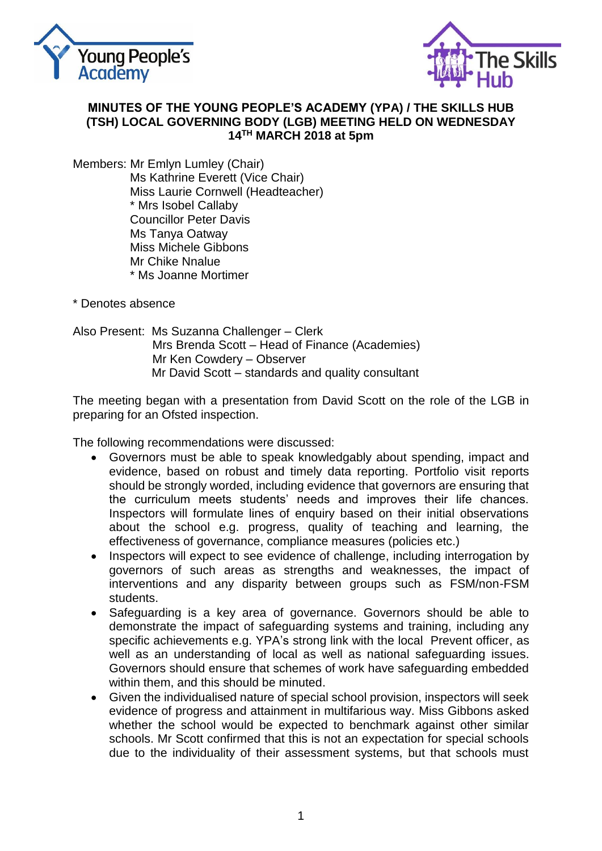



#### **MINUTES OF THE YOUNG PEOPLE'S ACADEMY (YPA) / THE SKILLS HUB (TSH) LOCAL GOVERNING BODY (LGB) MEETING HELD ON WEDNESDAY 14TH MARCH 2018 at 5pm**

Members: Mr Emlyn Lumley (Chair) Ms Kathrine Everett (Vice Chair) Miss Laurie Cornwell (Headteacher) \* Mrs Isobel Callaby Councillor Peter Davis Ms Tanya Oatway Miss Michele Gibbons Mr Chike Nnalue \* Ms Joanne Mortimer

\* Denotes absence

Also Present: Ms Suzanna Challenger – Clerk Mrs Brenda Scott – Head of Finance (Academies) Mr Ken Cowdery – Observer Mr David Scott – standards and quality consultant

The meeting began with a presentation from David Scott on the role of the LGB in preparing for an Ofsted inspection.

The following recommendations were discussed:

- Governors must be able to speak knowledgably about spending, impact and evidence, based on robust and timely data reporting. Portfolio visit reports should be strongly worded, including evidence that governors are ensuring that the curriculum meets students' needs and improves their life chances. Inspectors will formulate lines of enquiry based on their initial observations about the school e.g. progress, quality of teaching and learning, the effectiveness of governance, compliance measures (policies etc.)
- Inspectors will expect to see evidence of challenge, including interrogation by governors of such areas as strengths and weaknesses, the impact of interventions and any disparity between groups such as FSM/non-FSM students.
- Safeguarding is a key area of governance. Governors should be able to demonstrate the impact of safeguarding systems and training, including any specific achievements e.g. YPA's strong link with the local Prevent officer, as well as an understanding of local as well as national safeguarding issues. Governors should ensure that schemes of work have safeguarding embedded within them, and this should be minuted.
- Given the individualised nature of special school provision, inspectors will seek evidence of progress and attainment in multifarious way. Miss Gibbons asked whether the school would be expected to benchmark against other similar schools. Mr Scott confirmed that this is not an expectation for special schools due to the individuality of their assessment systems, but that schools must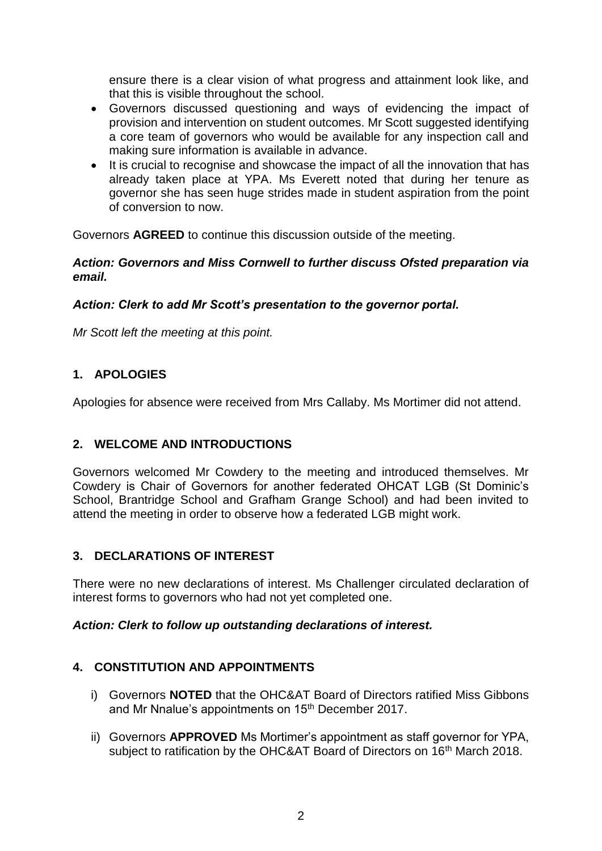ensure there is a clear vision of what progress and attainment look like, and that this is visible throughout the school.

- Governors discussed questioning and ways of evidencing the impact of provision and intervention on student outcomes. Mr Scott suggested identifying a core team of governors who would be available for any inspection call and making sure information is available in advance.
- It is crucial to recognise and showcase the impact of all the innovation that has already taken place at YPA. Ms Everett noted that during her tenure as governor she has seen huge strides made in student aspiration from the point of conversion to now.

Governors **AGREED** to continue this discussion outside of the meeting.

#### *Action: Governors and Miss Cornwell to further discuss Ofsted preparation via email.*

### *Action: Clerk to add Mr Scott's presentation to the governor portal.*

*Mr Scott left the meeting at this point.*

# **1. APOLOGIES**

Apologies for absence were received from Mrs Callaby. Ms Mortimer did not attend.

### **2. WELCOME AND INTRODUCTIONS**

Governors welcomed Mr Cowdery to the meeting and introduced themselves. Mr Cowdery is Chair of Governors for another federated OHCAT LGB (St Dominic's School, Brantridge School and Grafham Grange School) and had been invited to attend the meeting in order to observe how a federated LGB might work.

### **3. DECLARATIONS OF INTEREST**

There were no new declarations of interest. Ms Challenger circulated declaration of interest forms to governors who had not yet completed one.

#### *Action: Clerk to follow up outstanding declarations of interest.*

### **4. CONSTITUTION AND APPOINTMENTS**

- i) Governors **NOTED** that the OHC&AT Board of Directors ratified Miss Gibbons and Mr Nnalue's appointments on 15th December 2017.
- ii) Governors **APPROVED** Ms Mortimer's appointment as staff governor for YPA, subject to ratification by the OHC&AT Board of Directors on 16<sup>th</sup> March 2018.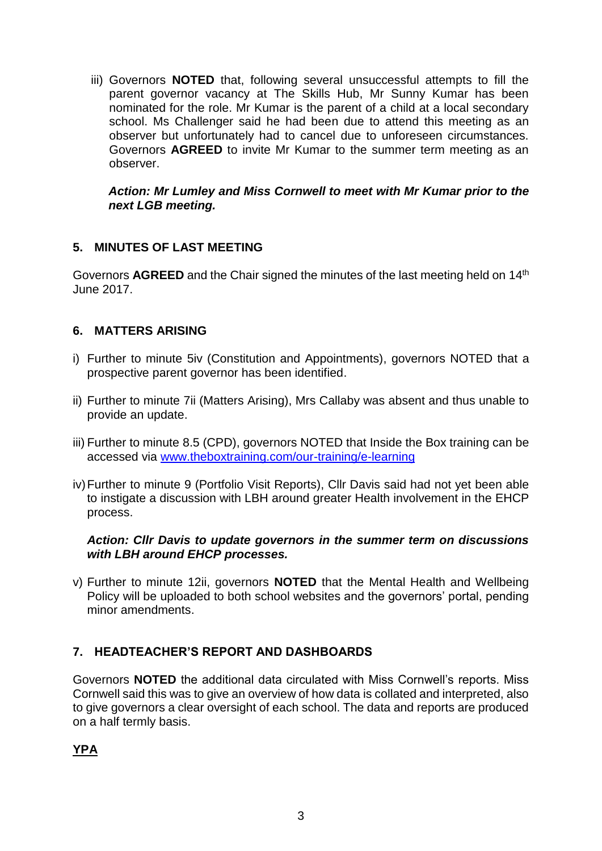iii) Governors **NOTED** that, following several unsuccessful attempts to fill the parent governor vacancy at The Skills Hub, Mr Sunny Kumar has been nominated for the role. Mr Kumar is the parent of a child at a local secondary school. Ms Challenger said he had been due to attend this meeting as an observer but unfortunately had to cancel due to unforeseen circumstances. Governors **AGREED** to invite Mr Kumar to the summer term meeting as an observer.

#### *Action: Mr Lumley and Miss Cornwell to meet with Mr Kumar prior to the next LGB meeting.*

### **5. MINUTES OF LAST MEETING**

Governors AGREED and the Chair signed the minutes of the last meeting held on 14<sup>th</sup> June 2017.

### **6. MATTERS ARISING**

- i) Further to minute 5iv (Constitution and Appointments), governors NOTED that a prospective parent governor has been identified.
- ii) Further to minute 7ii (Matters Arising), Mrs Callaby was absent and thus unable to provide an update.
- iii) Further to minute 8.5 (CPD), governors NOTED that Inside the Box training can be accessed via [www.theboxtraining.com/our-training/e-learning](http://www.theboxtraining.com/our-training/e-learning)
- iv)Further to minute 9 (Portfolio Visit Reports), Cllr Davis said had not yet been able to instigate a discussion with LBH around greater Health involvement in the EHCP process.

#### *Action: Cllr Davis to update governors in the summer term on discussions with LBH around EHCP processes.*

v) Further to minute 12ii, governors **NOTED** that the Mental Health and Wellbeing Policy will be uploaded to both school websites and the governors' portal, pending minor amendments.

# **7. HEADTEACHER'S REPORT AND DASHBOARDS**

Governors **NOTED** the additional data circulated with Miss Cornwell's reports. Miss Cornwell said this was to give an overview of how data is collated and interpreted, also to give governors a clear oversight of each school. The data and reports are produced on a half termly basis.

**YPA**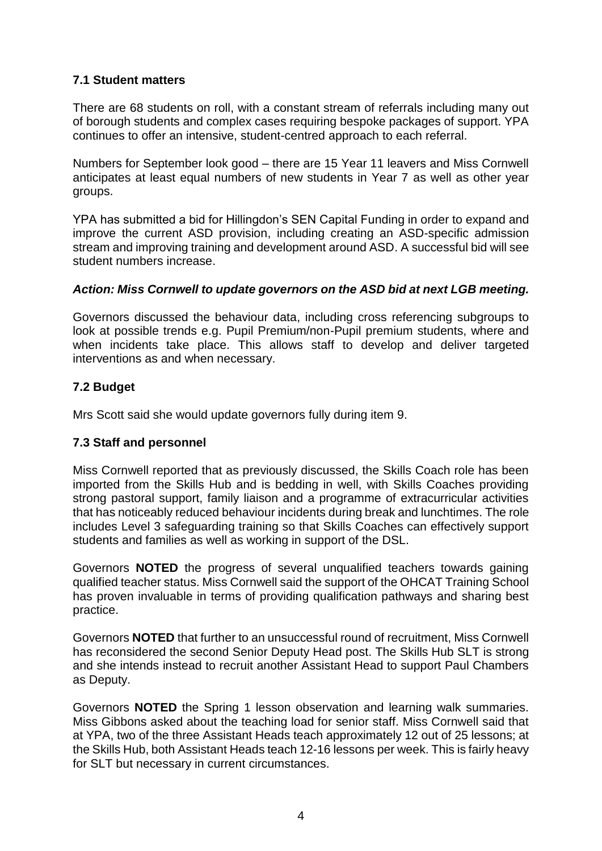### **7.1 Student matters**

There are 68 students on roll, with a constant stream of referrals including many out of borough students and complex cases requiring bespoke packages of support. YPA continues to offer an intensive, student-centred approach to each referral.

Numbers for September look good – there are 15 Year 11 leavers and Miss Cornwell anticipates at least equal numbers of new students in Year 7 as well as other year groups.

YPA has submitted a bid for Hillingdon's SEN Capital Funding in order to expand and improve the current ASD provision, including creating an ASD-specific admission stream and improving training and development around ASD. A successful bid will see student numbers increase.

### *Action: Miss Cornwell to update governors on the ASD bid at next LGB meeting.*

Governors discussed the behaviour data, including cross referencing subgroups to look at possible trends e.g. Pupil Premium/non-Pupil premium students, where and when incidents take place. This allows staff to develop and deliver targeted interventions as and when necessary.

### **7.2 Budget**

Mrs Scott said she would update governors fully during item 9.

#### **7.3 Staff and personnel**

Miss Cornwell reported that as previously discussed, the Skills Coach role has been imported from the Skills Hub and is bedding in well, with Skills Coaches providing strong pastoral support, family liaison and a programme of extracurricular activities that has noticeably reduced behaviour incidents during break and lunchtimes. The role includes Level 3 safeguarding training so that Skills Coaches can effectively support students and families as well as working in support of the DSL.

Governors **NOTED** the progress of several unqualified teachers towards gaining qualified teacher status. Miss Cornwell said the support of the OHCAT Training School has proven invaluable in terms of providing qualification pathways and sharing best practice.

Governors **NOTED** that further to an unsuccessful round of recruitment, Miss Cornwell has reconsidered the second Senior Deputy Head post. The Skills Hub SLT is strong and she intends instead to recruit another Assistant Head to support Paul Chambers as Deputy.

Governors **NOTED** the Spring 1 lesson observation and learning walk summaries. Miss Gibbons asked about the teaching load for senior staff. Miss Cornwell said that at YPA, two of the three Assistant Heads teach approximately 12 out of 25 lessons; at the Skills Hub, both Assistant Heads teach 12-16 lessons per week. This is fairly heavy for SLT but necessary in current circumstances.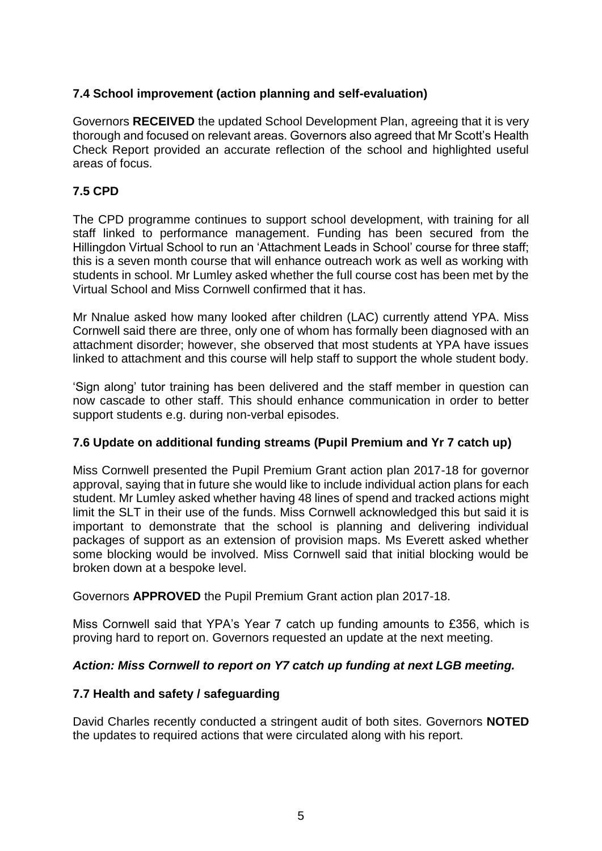### **7.4 School improvement (action planning and self-evaluation)**

Governors **RECEIVED** the updated School Development Plan, agreeing that it is very thorough and focused on relevant areas. Governors also agreed that Mr Scott's Health Check Report provided an accurate reflection of the school and highlighted useful areas of focus.

### **7.5 CPD**

The CPD programme continues to support school development, with training for all staff linked to performance management. Funding has been secured from the Hillingdon Virtual School to run an 'Attachment Leads in School' course for three staff; this is a seven month course that will enhance outreach work as well as working with students in school. Mr Lumley asked whether the full course cost has been met by the Virtual School and Miss Cornwell confirmed that it has.

Mr Nnalue asked how many looked after children (LAC) currently attend YPA. Miss Cornwell said there are three, only one of whom has formally been diagnosed with an attachment disorder; however, she observed that most students at YPA have issues linked to attachment and this course will help staff to support the whole student body.

'Sign along' tutor training has been delivered and the staff member in question can now cascade to other staff. This should enhance communication in order to better support students e.g. during non-verbal episodes.

#### **7.6 Update on additional funding streams (Pupil Premium and Yr 7 catch up)**

Miss Cornwell presented the Pupil Premium Grant action plan 2017-18 for governor approval, saying that in future she would like to include individual action plans for each student. Mr Lumley asked whether having 48 lines of spend and tracked actions might limit the SLT in their use of the funds. Miss Cornwell acknowledged this but said it is important to demonstrate that the school is planning and delivering individual packages of support as an extension of provision maps. Ms Everett asked whether some blocking would be involved. Miss Cornwell said that initial blocking would be broken down at a bespoke level.

Governors **APPROVED** the Pupil Premium Grant action plan 2017-18.

Miss Cornwell said that YPA's Year 7 catch up funding amounts to £356, which is proving hard to report on. Governors requested an update at the next meeting.

### *Action: Miss Cornwell to report on Y7 catch up funding at next LGB meeting.*

### **7.7 Health and safety / safeguarding**

David Charles recently conducted a stringent audit of both sites. Governors **NOTED** the updates to required actions that were circulated along with his report.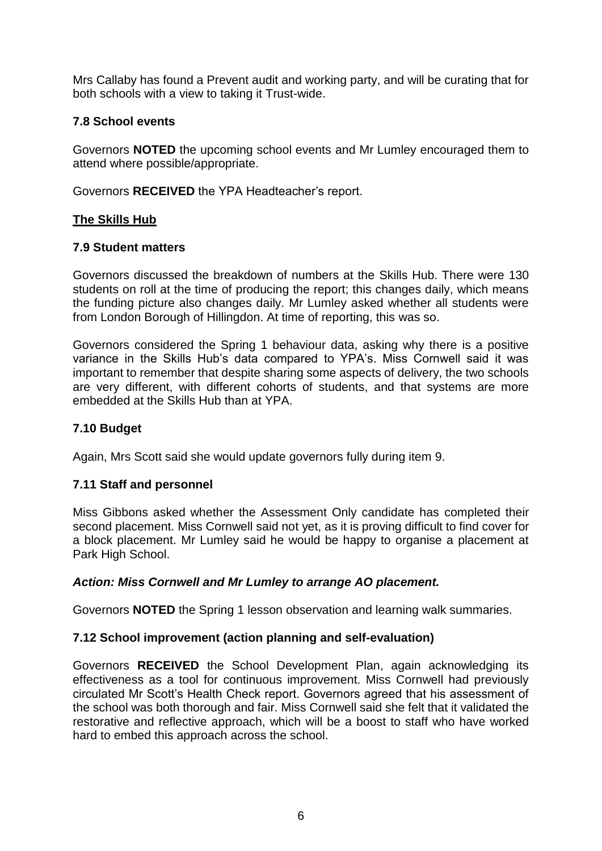Mrs Callaby has found a Prevent audit and working party, and will be curating that for both schools with a view to taking it Trust-wide.

## **7.8 School events**

Governors **NOTED** the upcoming school events and Mr Lumley encouraged them to attend where possible/appropriate.

Governors **RECEIVED** the YPA Headteacher's report.

## **The Skills Hub**

### **7.9 Student matters**

Governors discussed the breakdown of numbers at the Skills Hub. There were 130 students on roll at the time of producing the report; this changes daily, which means the funding picture also changes daily. Mr Lumley asked whether all students were from London Borough of Hillingdon. At time of reporting, this was so.

Governors considered the Spring 1 behaviour data, asking why there is a positive variance in the Skills Hub's data compared to YPA's. Miss Cornwell said it was important to remember that despite sharing some aspects of delivery, the two schools are very different, with different cohorts of students, and that systems are more embedded at the Skills Hub than at YPA.

## **7.10 Budget**

Again, Mrs Scott said she would update governors fully during item 9.

### **7.11 Staff and personnel**

Miss Gibbons asked whether the Assessment Only candidate has completed their second placement. Miss Cornwell said not yet, as it is proving difficult to find cover for a block placement. Mr Lumley said he would be happy to organise a placement at Park High School.

### *Action: Miss Cornwell and Mr Lumley to arrange AO placement.*

Governors **NOTED** the Spring 1 lesson observation and learning walk summaries.

### **7.12 School improvement (action planning and self-evaluation)**

Governors **RECEIVED** the School Development Plan, again acknowledging its effectiveness as a tool for continuous improvement. Miss Cornwell had previously circulated Mr Scott's Health Check report. Governors agreed that his assessment of the school was both thorough and fair. Miss Cornwell said she felt that it validated the restorative and reflective approach, which will be a boost to staff who have worked hard to embed this approach across the school.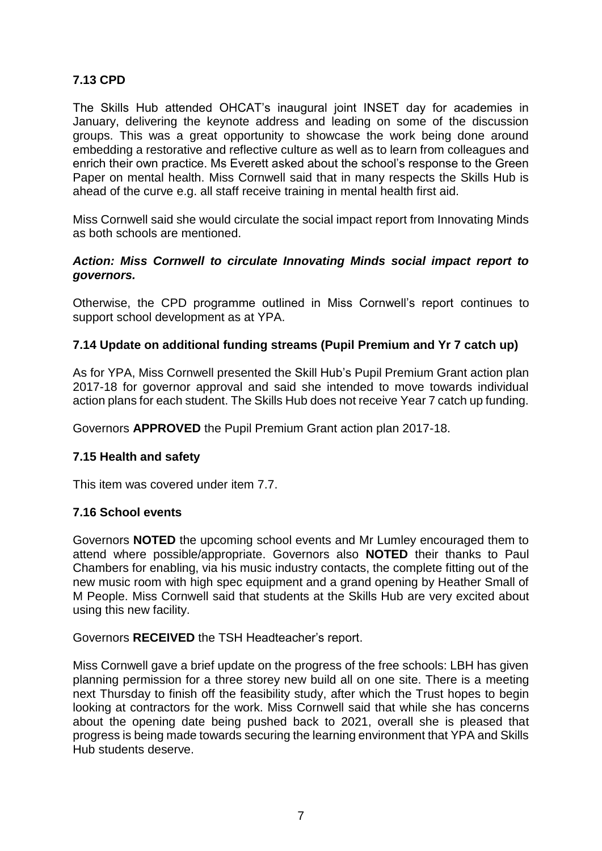## **7.13 CPD**

The Skills Hub attended OHCAT's inaugural joint INSET day for academies in January, delivering the keynote address and leading on some of the discussion groups. This was a great opportunity to showcase the work being done around embedding a restorative and reflective culture as well as to learn from colleagues and enrich their own practice. Ms Everett asked about the school's response to the Green Paper on mental health. Miss Cornwell said that in many respects the Skills Hub is ahead of the curve e.g. all staff receive training in mental health first aid.

Miss Cornwell said she would circulate the social impact report from Innovating Minds as both schools are mentioned.

#### *Action: Miss Cornwell to circulate Innovating Minds social impact report to governors.*

Otherwise, the CPD programme outlined in Miss Cornwell's report continues to support school development as at YPA.

#### **7.14 Update on additional funding streams (Pupil Premium and Yr 7 catch up)**

As for YPA, Miss Cornwell presented the Skill Hub's Pupil Premium Grant action plan 2017-18 for governor approval and said she intended to move towards individual action plans for each student. The Skills Hub does not receive Year 7 catch up funding.

Governors **APPROVED** the Pupil Premium Grant action plan 2017-18.

#### **7.15 Health and safety**

This item was covered under item 7.7.

#### **7.16 School events**

Governors **NOTED** the upcoming school events and Mr Lumley encouraged them to attend where possible/appropriate. Governors also **NOTED** their thanks to Paul Chambers for enabling, via his music industry contacts, the complete fitting out of the new music room with high spec equipment and a grand opening by Heather Small of M People. Miss Cornwell said that students at the Skills Hub are very excited about using this new facility.

Governors **RECEIVED** the TSH Headteacher's report.

Miss Cornwell gave a brief update on the progress of the free schools: LBH has given planning permission for a three storey new build all on one site. There is a meeting next Thursday to finish off the feasibility study, after which the Trust hopes to begin looking at contractors for the work. Miss Cornwell said that while she has concerns about the opening date being pushed back to 2021, overall she is pleased that progress is being made towards securing the learning environment that YPA and Skills Hub students deserve.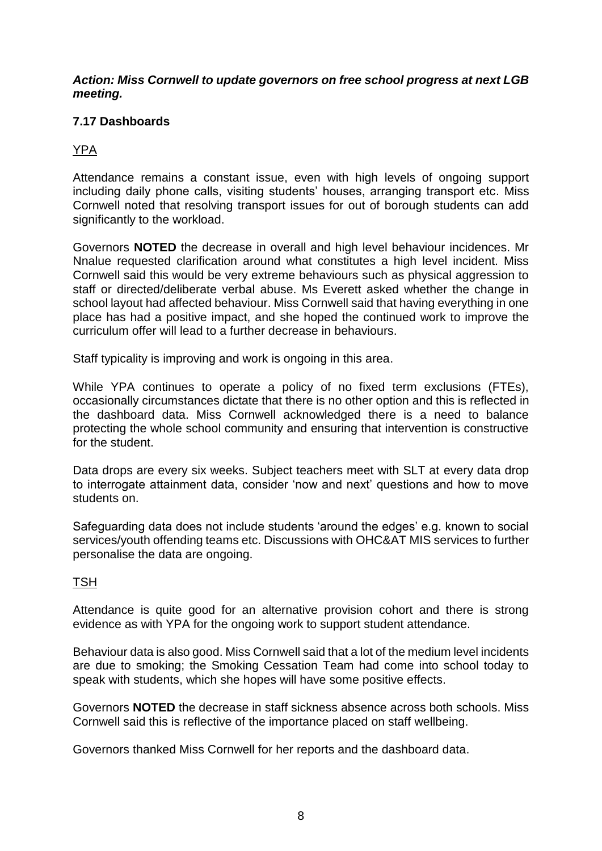#### *Action: Miss Cornwell to update governors on free school progress at next LGB meeting.*

## **7.17 Dashboards**

# YPA

Attendance remains a constant issue, even with high levels of ongoing support including daily phone calls, visiting students' houses, arranging transport etc. Miss Cornwell noted that resolving transport issues for out of borough students can add significantly to the workload.

Governors **NOTED** the decrease in overall and high level behaviour incidences. Mr Nnalue requested clarification around what constitutes a high level incident. Miss Cornwell said this would be very extreme behaviours such as physical aggression to staff or directed/deliberate verbal abuse. Ms Everett asked whether the change in school layout had affected behaviour. Miss Cornwell said that having everything in one place has had a positive impact, and she hoped the continued work to improve the curriculum offer will lead to a further decrease in behaviours.

Staff typicality is improving and work is ongoing in this area.

While YPA continues to operate a policy of no fixed term exclusions (FTEs), occasionally circumstances dictate that there is no other option and this is reflected in the dashboard data. Miss Cornwell acknowledged there is a need to balance protecting the whole school community and ensuring that intervention is constructive for the student.

Data drops are every six weeks. Subject teachers meet with SLT at every data drop to interrogate attainment data, consider 'now and next' questions and how to move students on.

Safeguarding data does not include students 'around the edges' e.g. known to social services/youth offending teams etc. Discussions with OHC&AT MIS services to further personalise the data are ongoing.

### **TSH**

Attendance is quite good for an alternative provision cohort and there is strong evidence as with YPA for the ongoing work to support student attendance.

Behaviour data is also good. Miss Cornwell said that a lot of the medium level incidents are due to smoking; the Smoking Cessation Team had come into school today to speak with students, which she hopes will have some positive effects.

Governors **NOTED** the decrease in staff sickness absence across both schools. Miss Cornwell said this is reflective of the importance placed on staff wellbeing.

Governors thanked Miss Cornwell for her reports and the dashboard data.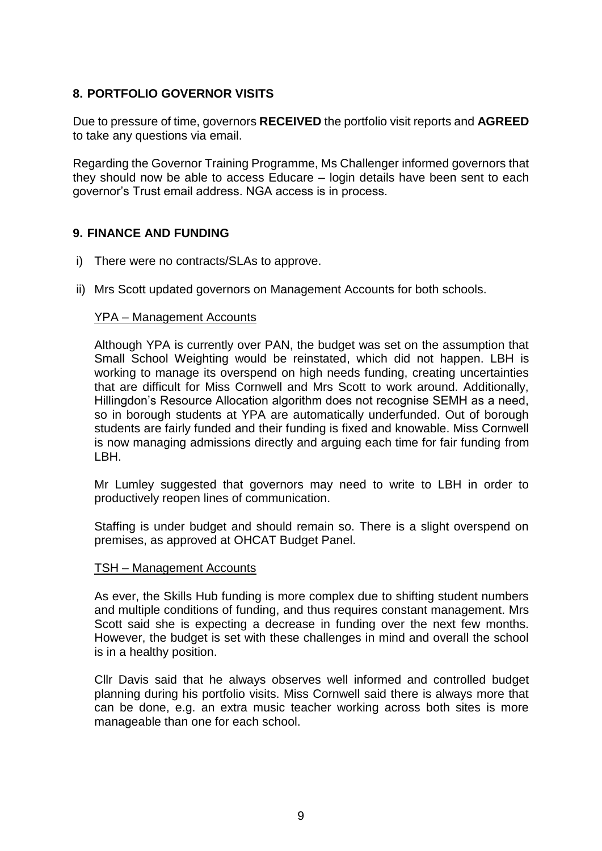### **8. PORTFOLIO GOVERNOR VISITS**

Due to pressure of time, governors **RECEIVED** the portfolio visit reports and **AGREED** to take any questions via email.

Regarding the Governor Training Programme, Ms Challenger informed governors that they should now be able to access Educare – login details have been sent to each governor's Trust email address. NGA access is in process.

### **9. FINANCE AND FUNDING**

- i) There were no contracts/SLAs to approve.
- ii) Mrs Scott updated governors on Management Accounts for both schools.

#### YPA – Management Accounts

Although YPA is currently over PAN, the budget was set on the assumption that Small School Weighting would be reinstated, which did not happen. LBH is working to manage its overspend on high needs funding, creating uncertainties that are difficult for Miss Cornwell and Mrs Scott to work around. Additionally, Hillingdon's Resource Allocation algorithm does not recognise SEMH as a need, so in borough students at YPA are automatically underfunded. Out of borough students are fairly funded and their funding is fixed and knowable. Miss Cornwell is now managing admissions directly and arguing each time for fair funding from LBH.

Mr Lumley suggested that governors may need to write to LBH in order to productively reopen lines of communication.

Staffing is under budget and should remain so. There is a slight overspend on premises, as approved at OHCAT Budget Panel.

#### TSH – Management Accounts

As ever, the Skills Hub funding is more complex due to shifting student numbers and multiple conditions of funding, and thus requires constant management. Mrs Scott said she is expecting a decrease in funding over the next few months. However, the budget is set with these challenges in mind and overall the school is in a healthy position.

Cllr Davis said that he always observes well informed and controlled budget planning during his portfolio visits. Miss Cornwell said there is always more that can be done, e.g. an extra music teacher working across both sites is more manageable than one for each school.